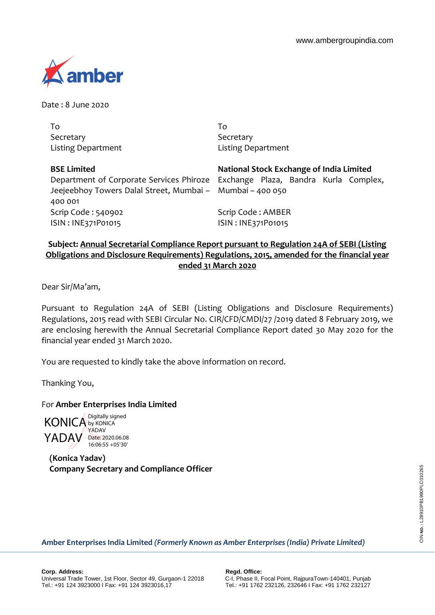

Date : 8 June 2020

| To                                                        | To                                                                             |
|-----------------------------------------------------------|--------------------------------------------------------------------------------|
| Secretary                                                 | Secretary                                                                      |
| <b>Listing Department</b>                                 | <b>Listing Department</b>                                                      |
| <b>BSE Limited</b>                                        | National Stock Exchange of India Limited                                       |
|                                                           | Department of Corporate Services Phiroze Exchange Plaza, Bandra Kurla Complex, |
| Jeejeebhoy Towers Dalal Street, Mumbai - Mumbai - 400 050 |                                                                                |
| 400 001                                                   |                                                                                |
| Scrip Code: 540902                                        | Scrip Code: AMBER                                                              |
| ISIN: INE371P01015                                        | ISIN: INE371P01015                                                             |
|                                                           |                                                                                |

## **Subject: Annual Secretarial Compliance Report pursuant to Regulation 24A of SEBI (Listing Obligations and Disclosure Requirements) Regulations, 2015, amended for the financial year ended 31 March 2020**

Dear Sir/Ma'am,

Pursuant to Regulation 24A of SEBI (Listing Obligations and Disclosure Requirements) Regulations, 2015 read with SEBI Circular No. CIR/CFD/CMDI/27 /2019 dated 8 February 2019, we are enclosing herewith the Annual Secretarial Compliance Report dated 30 May 2020 for the financial year ended 31 March 2020.

You are requested to kindly take the above information on record.

Thanking You,

## For **Amber Enterprises India Limited**

KONICA by KONICA YADAV Date: 2020.06.08 Digitally signed YADAV 16:06:55 +05'30'

**(Konica Yadav) Company Secretary and Compliance Officer**

**Amber Enterprises India Limited** *(Formerly Known as Amber Enterprises (India) Private Limited)*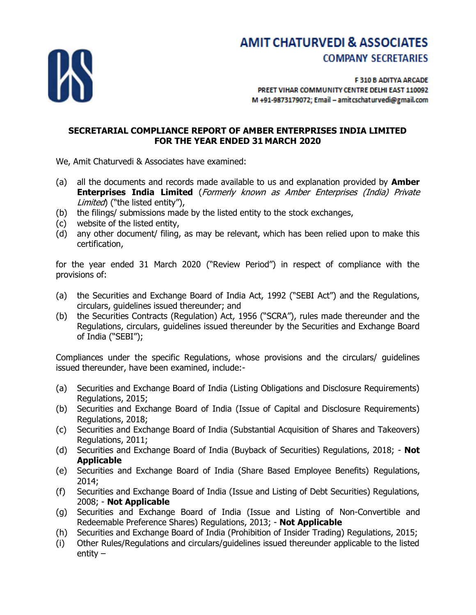

# **AMIT CHATURVEDI & ASSOCIATES COMPANY SECRETARIES**

F 310 B ADITYA ARCADE PREET VIHAR COMMUNITY CENTRE DELHI EAST 110092 M +91-9873179072; Email - amitcschaturvedi@gmail.com

### **SECRETARIAL COMPLIANCE REPORT OF AMBER ENTERPRISES INDIA LIMITED FOR THE YEAR ENDED 31 MARCH 2020**

We, Amit Chaturvedi & Associates have examined:

- (a) all the documents and records made available to us and explanation provided by **Amber Enterprises India Limited** (Formerly known as Amber Enterprises (India) Private Limited) ("the listed entity"),
- (b) the filings/ submissions made by the listed entity to the stock exchanges,
- (c) website of the listed entity,
- (d) any other document/ filing, as may be relevant, which has been relied upon to make this certification,

for the year ended 31 March 2020 ("Review Period") in respect of compliance with the provisions of:

- (a) the Securities and Exchange Board of India Act, 1992 ("SEBI Act") and the Regulations, circulars, guidelines issued thereunder; and
- (b) the Securities Contracts (Regulation) Act, 1956 ("SCRA"), rules made thereunder and the Regulations, circulars, guidelines issued thereunder by the Securities and Exchange Board of India ("SEBI");

Compliances under the specific Regulations, whose provisions and the circulars/ guidelines issued thereunder, have been examined, include:-

- (a) Securities and Exchange Board of India (Listing Obligations and Disclosure Requirements) Regulations, 2015;
- (b) Securities and Exchange Board of India (Issue of Capital and Disclosure Requirements) Regulations, 2018;
- (c) Securities and Exchange Board of India (Substantial Acquisition of Shares and Takeovers) Regulations, 2011;
- (d) Securities and Exchange Board of India (Buyback of Securities) Regulations, 2018; **Not Applicable**
- (e) Securities and Exchange Board of India (Share Based Employee Benefits) Regulations, 2014;
- (f) Securities and Exchange Board of India (Issue and Listing of Debt Securities) Regulations, 2008; - **Not Applicable**
- (g) Securities and Exchange Board of India (Issue and Listing of Non-Convertible and Redeemable Preference Shares) Regulations, 2013; - **Not Applicable**
- (h) Securities and Exchange Board of India (Prohibition of Insider Trading) Regulations, 2015;
- (i) Other Rules/Regulations and circulars/guidelines issued thereunder applicable to the listed entity –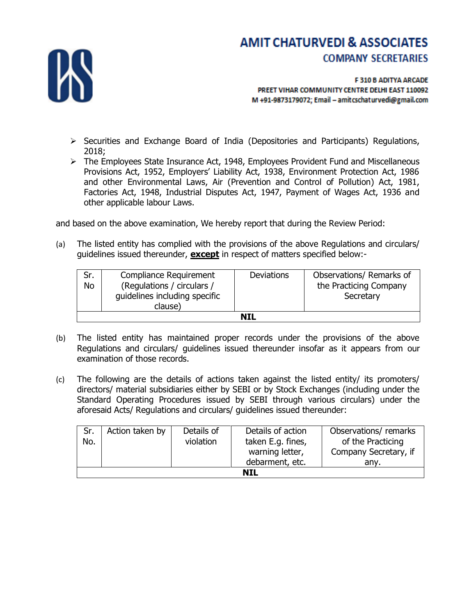

## **AMIT CHATURVEDI & ASSOCIATES COMPANY SECRETARIES**

F 310 B ADITYA ARCADE PREET VIHAR COMMUNITY CENTRE DELHI EAST 110092 M +91-9873179072; Email - amitcschaturvedi@gmail.com

- $\triangleright$  Securities and Exchange Board of India (Depositories and Participants) Regulations, 2018;
- $\triangleright$  The Employees State Insurance Act, 1948, Employees Provident Fund and Miscellaneous Provisions Act, 1952, Employers' Liability Act, 1938, Environment Protection Act, 1986 and other Environmental Laws, Air (Prevention and Control of Pollution) Act, 1981, Factories Act, 1948, Industrial Disputes Act, 1947, Payment of Wages Act, 1936 and other applicable labour Laws.

and based on the above examination, We hereby report that during the Review Period:

(a) The listed entity has complied with the provisions of the above Regulations and circulars/ guidelines issued thereunder, **except** in respect of matters specified below:-

| Sr. | Compliance Requirement        | <b>Deviations</b> | Observations/ Remarks of |  |  |  |
|-----|-------------------------------|-------------------|--------------------------|--|--|--|
| No  | (Regulations / circulars /    |                   | the Practicing Company   |  |  |  |
|     | quidelines including specific |                   | Secretary                |  |  |  |
|     | clause)                       |                   |                          |  |  |  |
| NIL |                               |                   |                          |  |  |  |

- (b) The listed entity has maintained proper records under the provisions of the above Regulations and circulars/ guidelines issued thereunder insofar as it appears from our examination of those records.
- (c) The following are the details of actions taken against the listed entity/ its promoters/ directors/ material subsidiaries either by SEBI or by Stock Exchanges (including under the Standard Operating Procedures issued by SEBI through various circulars) under the aforesaid Acts/ Regulations and circulars/ guidelines issued thereunder:

| Sr.<br>No. | Action taken by | Details of<br>violation | Details of action<br>taken E.g. fines,<br>warning letter, | Observations/remarks<br>of the Practicing<br>Company Secretary, if |
|------------|-----------------|-------------------------|-----------------------------------------------------------|--------------------------------------------------------------------|
|            |                 |                         | debarment, etc.                                           | anv.                                                               |
| NIL        |                 |                         |                                                           |                                                                    |